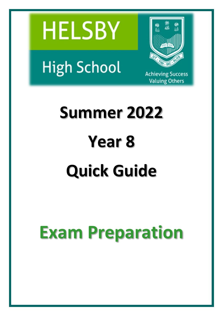



**High School** 

**Achieving Success Valuing Others** 

# **Summer 2022 Year 8 Quick Guide**

# **Exam Preparation**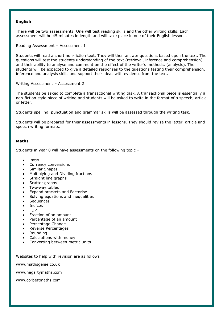#### **English**

There will be two assessments. One will test reading skills and the other writing skills. Each assessment will be 45 minutes in length and will take place in one of their English lessons.

Reading Assessment – Assessment 1

Students will read a short non-fiction text. They will then answer questions based upon the text. The questions will test the students understanding of the text (retrieval, inference and comprehension) and their ability to analyse and comment on the effect of the writer's methods. (analysis). The students will be expected to give a detailed responses to the questions testing their comprehension, inference and analysis skills and support their ideas with evidence from the text.

Writing Assessment – Assessment 2

The students be asked to complete a transactional writing task. A transactional piece is essentially a non-fiction style piece of writing and students will be asked to write in the format of a speech, article or letter.

Students spelling, punctuation and grammar skills will be assessed through the writing task.

Students will be prepared for their assessments in lessons. They should revise the letter, article and speech writing formats.

# **Maths**

Students in year 8 will have assessments on the following topic –

- Ratio
- Currency conversions
- Similar Shapes
- Multiplying and Dividing fractions
- Straight line graphs
- Scatter graphs
- Two-way tables
- Expand brackets and Factorise
- Solving equations and inequalities
- **Sequences**
- Indices
- FDP
- Fraction of an amount
- Percentage of an amount
- Percentage Change
- Reverse Percentages
- Rounding
- Calculations with money
- Converting between metric units

Websites to help with revision are as follows

[www.mathsgenie.co.uk](http://www.mathsgenie.co.uk/)

[www.hegartymaths.com](http://www.hegartymaths.com/)

[www.corbettmaths.com](http://www.corbettmaths.com/)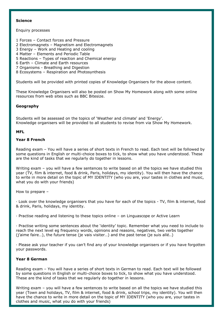#### **Science**

#### Enquiry processes

- 1 Forces Contact forces and Pressure
- 2 Electromagnets Magnetism and Electromagnets
- 3 Energy Work and Heating and cooling
- 4 Matter Elements and Periodic Table
- 5 Reactions Types of reaction and Chemical energy
- 6 Earth Climate and Earth resources
- 7 Organisms Breathing and Digestion
- 8 Ecosystems Respiration and Photosynthesis

Students will be provided with printed copies of Knowledge Organisers for the above content.

These Knowledge Organisers will also be posted on Show My Homework along with some online resources from web sites such as BBC Bitesize.

# **Geography**

Students will be assessed on the topics of 'Weather and climate' and 'Energy'. Knowledge organisers will be provided to all students to revise from via Show My Homework.

#### **MFL**

# **Year 8 French**

Reading exam – You will have a series of short texts in French to read. Each text will be followed by some questions in English or multi-choice boxes to tick, to show what you have understood. These are the kind of tasks that we regularly do together in lessons.

Writing exam – you will have a few sentences to write based on all the topics we have studied this year (TV, film & internet, food & drink, Paris, holidays, my identity). You will then have the chance to write in more detail on the topic of MY IDENTITY (who you are, your tastes in clothes and music, what you do with your friends)

How to prepare –

· Look over the knowledge organisers that you have for each of the topics - TV, film & internet, food & drink, Paris, holidays, my identity.

· Practise reading and listening to these topics online – on Linguascope or Active Learn

· Practise writing some sentences about the 'identity' topic. Remember what you need to include to reach the next level eg frequency words, opinions and reasons, negatives, two verbs together (j'aime faire…), the future tense (je vais visiter…) and the past tense (je suis allé..)

· Please ask your teacher if you can't find any of your knowledge organisers or if you have forgotten your passwords.

#### **Year 8 German**

Reading exam – You will have a series of short texts in German to read. Each text will be followed by some questions in English or multi-choice boxes to tick, to show what you have understood. These are the kind of tasks that we regularly do together in lessons.

Writing exam – you will have a few sentences to write based on all the topics we have studied this year (Town and holidays, TV, film & internet, food & drink, school trips, my identity). You will then have the chance to write in more detail on the topic of MY IDENTITY (who you are, your tastes in clothes and music, what you do with your friends)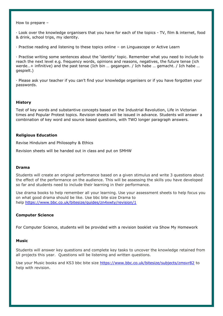How to prepare –

· Look over the knowledge organisers that you have for each of the topics - TV, film & internet, food & drink, school trips, my identity.

· Practise reading and listening to these topics online – on Linguascope or Active Learn

· Practise writing some sentences about the 'identity' topic. Remember what you need to include to reach the next level e.g. frequency words, opinions and reasons, negatives, the future tense (ich werde…+ infinitive) and the past tense (Ich bin ... gegangen. / Ich habe ... gemacht. / Ich habe ... gespielt.)

· Please ask your teacher if you can't find your knowledge organisers or if you have forgotten your passwords.

#### **History**

Test of key words and substantive concepts based on the Industrial Revolution, Life in Victorian times and Popular Protest topics. Revision sheets will be issued in advance. Students will answer a combination of key word and source based questions, with TWO longer paragraph answers.

#### **Religious Education**

Revise Hinduism and Philosophy & Ethics

Revision sheets will be handed out in class and put on SMHW

#### **Drama**

Students will create an original performance based on a given stimulus and write 3 questions about the effect of the performance on the audience. This will be assessing the skills you have developed so far and students need to include their learning in their performance.

Use drama books to help remember all your learning. Use your assessment sheets to help focus you on what good drama should be like. Use bbc bite size Drama to help <https://www.bbc.co.uk/bitesize/guides/zn4xwty/revision/1>

#### **Computer Science**

For Computer Science, students will be provided with a revision booklet via Show My Homework

#### **Music**

Students will answer key questions and complete key tasks to uncover the knowledge retained from all projects this year. Questions will be listening and written questions.

Use your Music books and KS3 bbc bite size <https://www.bbc.co.uk/bitesize/subjects/zmsvr82> to help with revision.